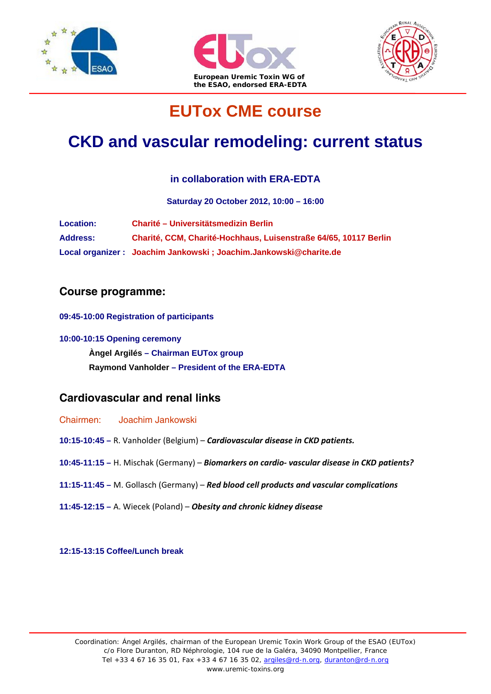





# **EUTox CME course**

# **CKD and vascular remodeling: current status**

### **in collaboration with ERA-EDTA**

**Saturday 20 October 2012, 10:00 – 16:00**

| <b>Location:</b> | <b>Charité – Universitätsmedizin Berlin</b>                      |
|------------------|------------------------------------------------------------------|
| <b>Address:</b>  | Charité, CCM, Charité-Hochhaus, Luisenstraße 64/65, 10117 Berlin |
|                  | Local organizer: Joachim Jankowski; Joachim.Jankowski@charite.de |

### **Course programme:**

**09:45-10:00 Registration of participants**

**10:00-10:15 Opening ceremony Àngel Argilés – Chairman EUTox group Raymond Vanholder – President of the ERA-EDTA** 

## **Cardiovascular and renal links**

Chairmen: Joachim Jankowski

- **10:15-10:45** R. Vanholder (Belgium) *Cardiovascular disease in CKD patients.*
- **10:45-11:15** H. Mischak (Germany) *Biomarkers on cardio‐ vascular disease in CKD patients?*
- **11:15-11:45** M. Gollasch (Germany) *Red blood cell products and vascular complications*
- **11:45-12:15** A. Wiecek (Poland) *Obesity and chronic kidney disease*

**12:15-13:15 Coffee/Lunch break**